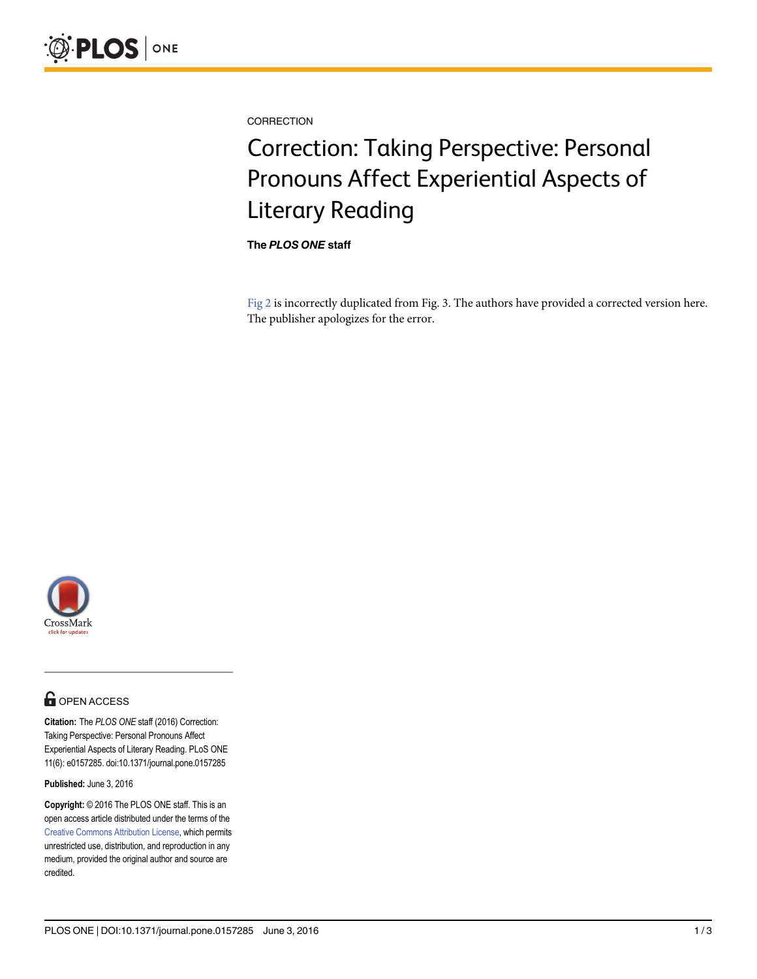<span id="page-0-0"></span>

**CORRECTION** 

## Correction: Taking Perspective: Personal Pronouns Affect Experiential Aspects of Literary Reading

The PLOS ONE staff

[Fig 2](#page-1-0) is incorrectly duplicated from Fig. 3. The authors have provided a corrected version here. The publisher apologizes for the error.



## **O** OPEN ACCESS

Citation: The PLOS ONE staff (2016) Correction: Taking Perspective: Personal Pronouns Affect Experiential Aspects of Literary Reading. PLoS ONE 11(6): e0157285. doi:10.1371/journal.pone.0157285

Published: June 3, 2016

Copyright: © 2016 The PLOS ONE staff. This is an open access article distributed under the terms of the [Creative Commons Attribution License,](http://creativecommons.org/licenses/by/4.0/) which permits unrestricted use, distribution, and reproduction in any medium, provided the original author and source are credited.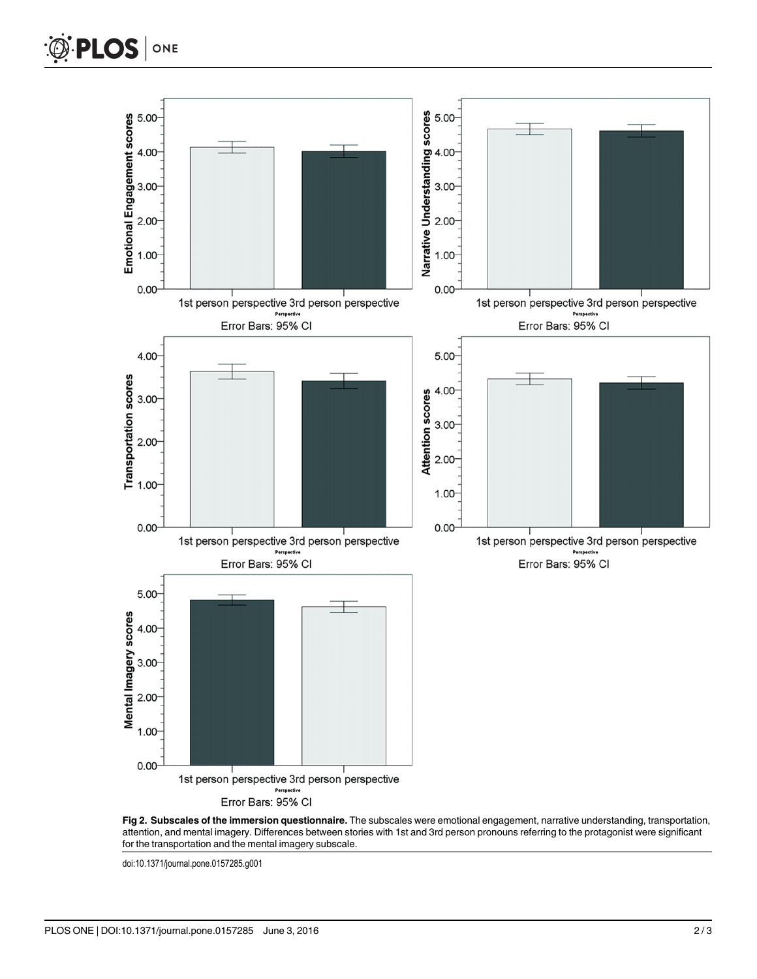<span id="page-1-0"></span>

[Fig 2. S](#page-0-0)ubscales of the immersion questionnaire. The subscales were emotional engagement, narrative understanding, transportation, attention, and mental imagery. Differences between stories with 1st and 3rd person pronouns referring to the protagonist were significant for the transportation and the mental imagery subscale.

doi:10.1371/journal.pone.0157285.g001